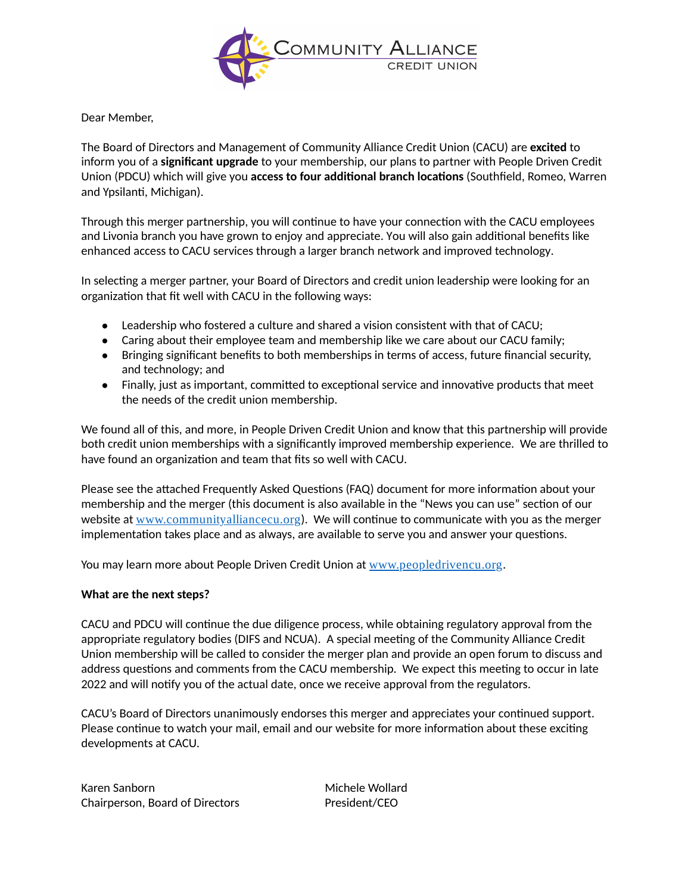

Dear Member,

The Board of Directors and Management of Community Alliance Credit Union (CACU) are **excited** to inform you of a **significant upgrade** to your membership, our plans to partner with People Driven Credit Union (PDCU) which will give you **access to four additional branch locations** (Southfield, Romeo, Warren and Ypsilanti, Michigan).

Through this merger partnership, you will continue to have your connection with the CACU employees and Livonia branch you have grown to enjoy and appreciate. You will also gain additional benefits like enhanced access to CACU services through a larger branch network and improved technology.

In selecting a merger partner, your Board of Directors and credit union leadership were looking for an organization that fit well with CACU in the following ways:

- $\bullet$  Leadership who fostered a culture and shared a vision consistent with that of CACU;
- Caring about their employee team and membership like we care about our CACU family;
- Bringing significant benefits to both memberships in terms of access, future financial security, and technology; and
- Finally, just as important, committed to exceptional service and innovative products that meet ●the needs of the credit union membership.

We found all of this, and more, in People Driven Credit Union and know that this partnership will provide both credit union memberships with a significantly improved membership experience. We are thrilled to have found an organization and team that fits so well with CACU.

Please see the attached Frequently Asked Questions (FAQ) document for more information about your membership and the merger (this document is also available in the "News you can use" section of our website at [www.communityalliancecu.org](http://www.communityalliancecu.org/)). We will continue to communicate with you as the merger implementation takes place and as always, are available to serve you and answer your questions.

You may learn more about People Driven Credit Union at [www.peopledrivencu.org](http://www.peopledrivencu.org/).

## **What are the next steps?**

CACU and PDCU will continue the due diligence process, while obtaining regulatory approval from the appropriate regulatory bodies (DIFS and NCUA). A special meeting of the Community Alliance Credit Union membership will be called to consider the merger plan and provide an open forum to discuss and address questions and comments from the CACU membership. We expect this meeting to occur in late 2022 and will notify you of the actual date, once we receive approval from the regulators.

CACU's Board of Directors unanimously endorses this merger and appreciates your continued support. Please continue to watch your mail, email and our website for more information about these exciting developments at CACU.

Karen Sanborn Michele Wollard Chairperson, Board of Directors President/CEO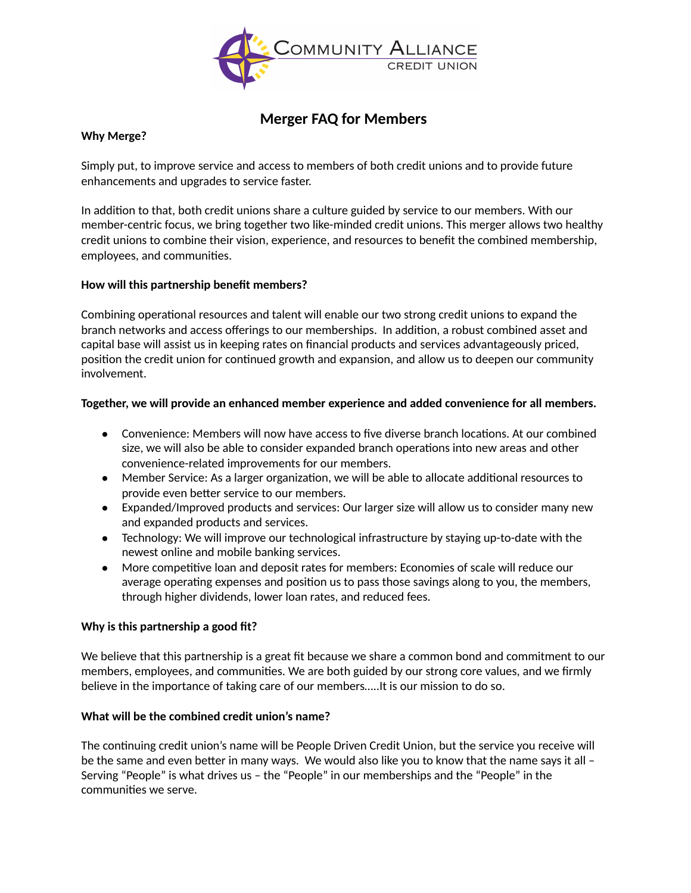

# **Merger FAQ for Members**

# **Why Merge?**

Simply put, to improve service and access to members of both credit unions and to provide future enhancements and upgrades to service faster.

In addition to that, both credit unions share a culture guided by service to our members. With our member-centric focus, we bring together two like-minded credit unions. This merger allows two healthy credit unions to combine their vision, experience, and resources to benefit the combined membership, employees, and communities.

# **How will this partnership benefit members?**

Combining operational resources and talent will enable our two strong credit unions to expand the branch networks and access offerings to our memberships. In addition, a robust combined asset and capital base will assist us in keeping rates on financial products and services advantageously priced, position the credit union for continued growth and expansion, and allow us to deepen our community involvement.

## **Together, we will provide an enhanced member experience and added convenience for all members.**

- Convenience: Members will now have access to five diverse branch locations. At our combined size, we will also be able to consider expanded branch operations into new areas and other convenience-related improvements for our members.
- Member Service: As a larger organization, we will be able to allocate additional resources to provide even better service to our members.
- Expanded/Improved products and services: Our larger size will allow us to consider many new and expanded products and services.
- Technology: We will improve our technological infrastructure by staying up-to-date with the newest online and mobile banking services.
- More competitive loan and deposit rates for members: Economies of scale will reduce our average operating expenses and position us to pass those savings along to you, the members, through higher dividends, lower loan rates, and reduced fees.

## **Why is this partnership a good fit?**

We believe that this partnership is a great fit because we share a common bond and commitment to our members, employees, and communities. We are both guided by our strong core values, and we firmly believe in the importance of taking care of our members…..It is our mission to do so.

## **What will be the combined credit union's name?**

The continuing credit union's name will be People Driven Credit Union, but the service you receive will be the same and even better in many ways. We would also like you to know that the name says it all – Serving "People" is what drives us – the "People" in our memberships and the "People" in the communities we serve.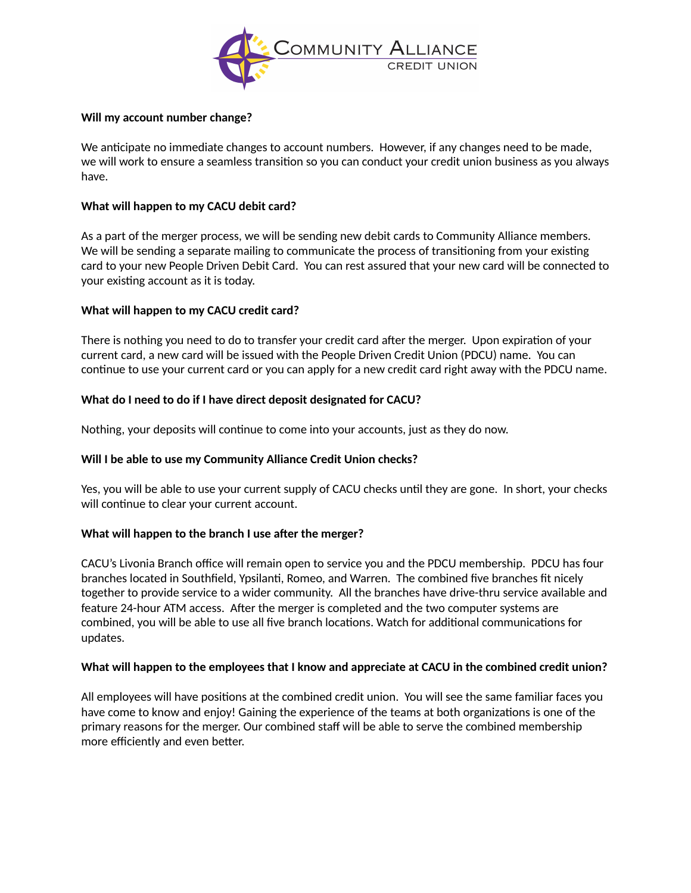

## **Will my account number change?**

We anticipate no immediate changes to account numbers. However, if any changes need to be made, we will work to ensure a seamless transition so you can conduct your credit union business as you always have.

## **What will happen to my CACU debit card?**

As a part of the merger process, we will be sending new debit cards to Community Alliance members. We will be sending a separate mailing to communicate the process of transitioning from your existing card to your new People Driven Debit Card. You can rest assured that your new card will be connected to your existing account as it is today.

## **What will happen to my CACU credit card?**

There is nothing you need to do to transfer your credit card after the merger. Upon expiration of your current card, a new card will be issued with the People Driven Credit Union (PDCU) name. You can continue to use your current card or you can apply for a new credit card right away with the PDCU name.

## **What do I need to do if I have direct deposit designated for CACU?**

Nothing, your deposits will continue to come into your accounts, just as they do now.

## **Will I be able to use my Community Alliance Credit Union checks?**

Yes, you will be able to use your current supply of CACU checks until they are gone. In short, your checks will continue to clear your current account.

## **What will happen to the branch I use after the merger?**

CACU's Livonia Branch office will remain open to service you and the PDCU membership. PDCU has four branches located in Southfield, Ypsilanti, Romeo, and Warren. The combined five branches fit nicely together to provide service to a wider community. All the branches have drive-thru service available and feature 24-hour ATM access. After the merger is completed and the two computer systems are combined, you will be able to use all five branch locations. Watch for additional communications for updates.

## **What will happen to the employees that I know and appreciate at CACU in the combined credit union?**

All employees will have positions at the combined credit union. You will see the same familiar faces you have come to know and enjoy! Gaining the experience of the teams at both organizations is one of the primary reasons for the merger. Our combined staff will be able to serve the combined membership more efficiently and even better.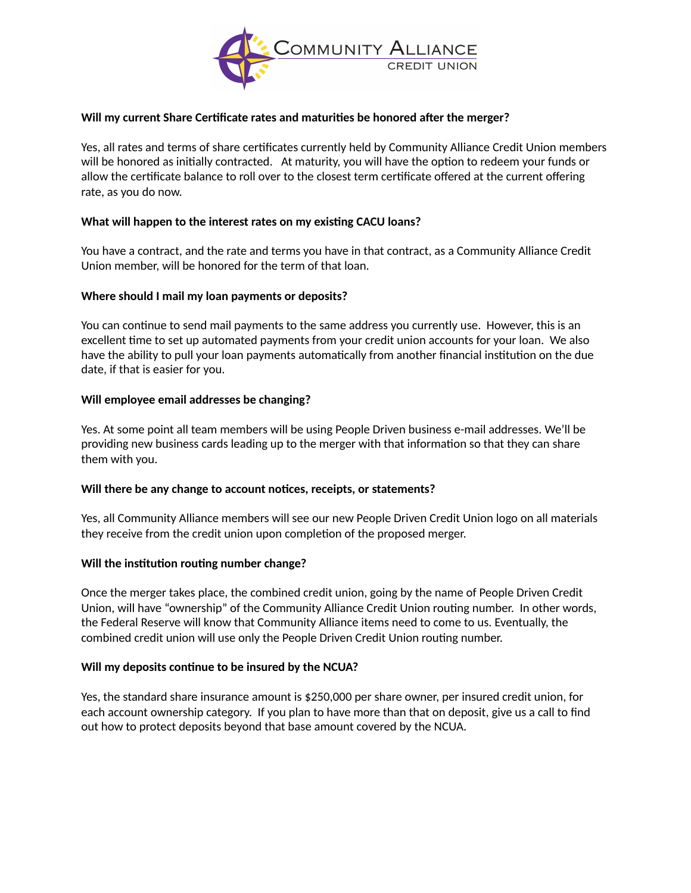

## **Will my current Share Certificate rates and maturities be honored after the merger?**

Yes, all rates and terms of share certificates currently held by Community Alliance Credit Union members will be honored as initially contracted. At maturity, you will have the option to redeem your funds or allow the certificate balance to roll over to the closest term certificate offered at the current offering rate, as you do now.

#### **What will happen to the interest rates on my existing CACU loans?**

You have a contract, and the rate and terms you have in that contract, as a Community Alliance Credit Union member, will be honored for the term of that loan.

#### **Where should I mail my loan payments or deposits?**

You can continue to send mail payments to the same address you currently use. However, this is an excellent time to set up automated payments from your credit union accounts for your loan. We also have the ability to pull your loan payments automatically from another financial institution on the due date, if that is easier for you.

#### **Will employee email addresses be changing?**

Yes. At some point all team members will be using People Driven business e-mail addresses. We'll be providing new business cards leading up to the merger with that information so that they can share them with you.

#### **Will there be any change to account notices, receipts, or statements?**

Yes, all Community Alliance members will see our new People Driven Credit Union logo on all materials they receive from the credit union upon completion of the proposed merger.

#### **Will the institution routing number change?**

Once the merger takes place, the combined credit union, going by the name of People Driven Credit Union, will have "ownership" of the Community Alliance Credit Union routing number. In other words, the Federal Reserve will know that Community Alliance items need to come to us. Eventually, the combined credit union will use only the People Driven Credit Union routing number.

#### **Will my deposits continue to be insured by the NCUA?**

Yes, the standard share insurance amount is \$250,000 per share owner, per insured credit union, for each account ownership category. If you plan to have more than that on deposit, give us a call to find out how to protect deposits beyond that base amount covered by the NCUA.